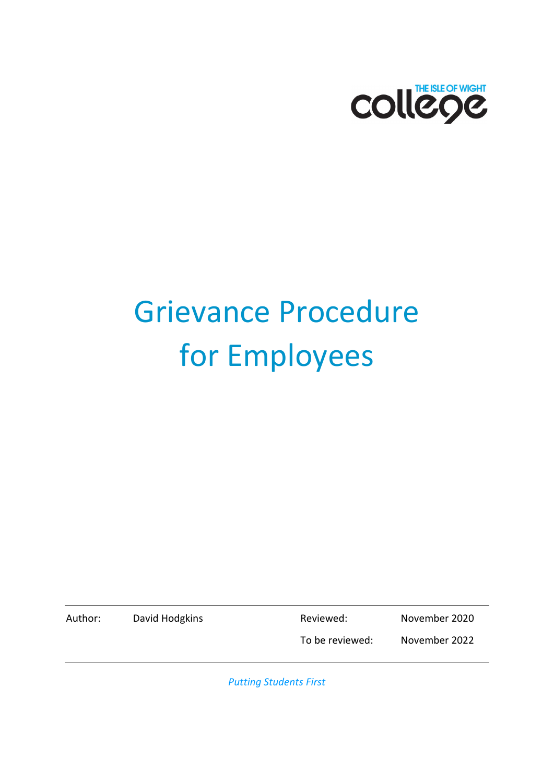

# Grievance Procedure for Employees

Author: David Hodgkins Reviewed: November 2020

To be reviewed: November 2022

*Putting Students First*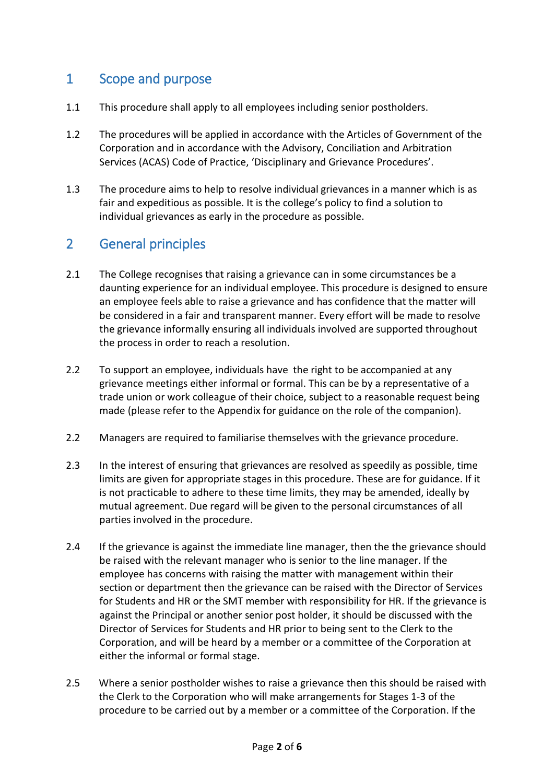#### 1 Scope and purpose

- 1.1 This procedure shall apply to all employees including senior postholders.
- 1.2 The procedures will be applied in accordance with the Articles of Government of the Corporation and in accordance with the Advisory, Conciliation and Arbitration Services (ACAS) Code of Practice, 'Disciplinary and Grievance Procedures'.
- 1.3 The procedure aims to help to resolve individual grievances in a manner which is as fair and expeditious as possible. It is the college's policy to find a solution to individual grievances as early in the procedure as possible.

#### 2 General principles

- 2.1 The College recognises that raising a grievance can in some circumstances be a daunting experience for an individual employee. This procedure is designed to ensure an employee feels able to raise a grievance and has confidence that the matter will be considered in a fair and transparent manner. Every effort will be made to resolve the grievance informally ensuring all individuals involved are supported throughout the process in order to reach a resolution.
- 2.2 To support an employee, individuals have the right to be accompanied at any grievance meetings either informal or formal. This can be by a representative of a trade union or work colleague of their choice, subject to a reasonable request being made (please refer to the Appendix for guidance on the role of the companion).
- 2.2 Managers are required to familiarise themselves with the grievance procedure.
- 2.3 In the interest of ensuring that grievances are resolved as speedily as possible, time limits are given for appropriate stages in this procedure. These are for guidance. If it is not practicable to adhere to these time limits, they may be amended, ideally by mutual agreement. Due regard will be given to the personal circumstances of all parties involved in the procedure.
- 2.4 If the grievance is against the immediate line manager, then the the grievance should be raised with the relevant manager who is senior to the line manager. If the employee has concerns with raising the matter with management within their section or department then the grievance can be raised with the Director of Services for Students and HR or the SMT member with responsibility for HR. If the grievance is against the Principal or another senior post holder, it should be discussed with the Director of Services for Students and HR prior to being sent to the Clerk to the Corporation, and will be heard by a member or a committee of the Corporation at either the informal or formal stage.
- 2.5 Where a senior postholder wishes to raise a grievance then this should be raised with the Clerk to the Corporation who will make arrangements for Stages 1-3 of the procedure to be carried out by a member or a committee of the Corporation. If the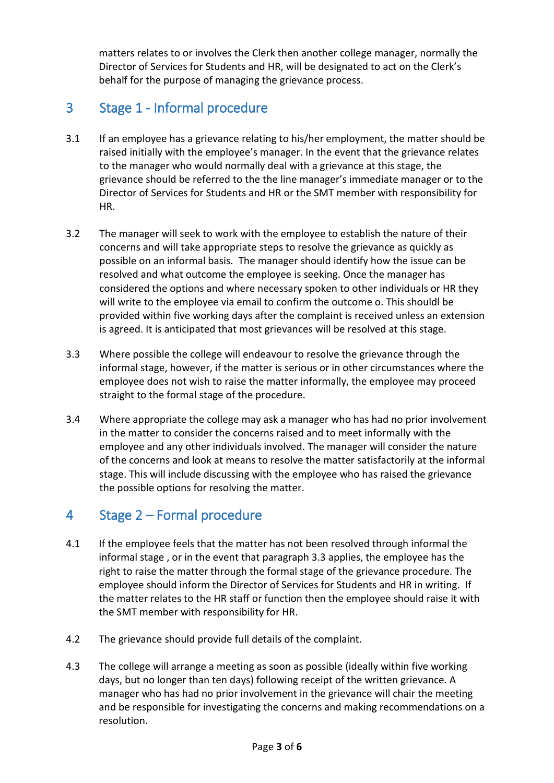matters relates to or involves the Clerk then another college manager, normally the Director of Services for Students and HR, will be designated to act on the Clerk's behalf for the purpose of managing the grievance process.

#### 3 Stage 1 - Informal procedure

- 3.1 If an employee has a grievance relating to his/her employment, the matter should be raised initially with the employee's manager. In the event that the grievance relates to the manager who would normally deal with a grievance at this stage, the grievance should be referred to the the line manager's immediate manager or to the Director of Services for Students and HR or the SMT member with responsibility for HR.
- 3.2 The manager will seek to work with the employee to establish the nature of their concerns and will take appropriate steps to resolve the grievance as quickly as possible on an informal basis. The manager should identify how the issue can be resolved and what outcome the employee is seeking. Once the manager has considered the options and where necessary spoken to other individuals or HR they will write to the employee via email to confirm the outcome o. This shouldl be provided within five working days after the complaint is received unless an extension is agreed. It is anticipated that most grievances will be resolved at this stage.
- 3.3 Where possible the college will endeavour to resolve the grievance through the informal stage, however, if the matter is serious or in other circumstances where the employee does not wish to raise the matter informally, the employee may proceed straight to the formal stage of the procedure.
- 3.4 Where appropriate the college may ask a manager who has had no prior involvement in the matter to consider the concerns raised and to meet informally with the employee and any other individuals involved. The manager will consider the nature of the concerns and look at means to resolve the matter satisfactorily at the informal stage. This will include discussing with the employee who has raised the grievance the possible options for resolving the matter.

# 4 Stage 2 – Formal procedure

- 4.1 If the employee feels that the matter has not been resolved through informal the informal stage , or in the event that paragraph 3.3 applies, the employee has the right to raise the matter through the formal stage of the grievance procedure. The employee should inform the Director of Services for Students and HR in writing. If the matter relates to the HR staff or function then the employee should raise it with the SMT member with responsibility for HR.
- 4.2 The grievance should provide full details of the complaint.
- 4.3 The college will arrange a meeting as soon as possible (ideally within five working days, but no longer than ten days) following receipt of the written grievance. A manager who has had no prior involvement in the grievance will chair the meeting and be responsible for investigating the concerns and making recommendations on a resolution.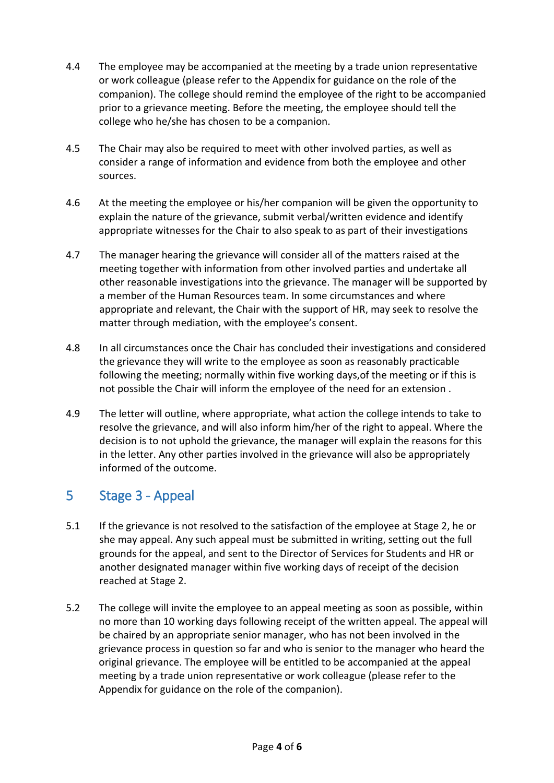- 4.4 The employee may be accompanied at the meeting by a trade union representative or work colleague (please refer to the Appendix for guidance on the role of the companion). The college should remind the employee of the right to be accompanied prior to a grievance meeting. Before the meeting, the employee should tell the college who he/she has chosen to be a companion.
- 4.5 The Chair may also be required to meet with other involved parties, as well as consider a range of information and evidence from both the employee and other sources.
- 4.6 At the meeting the employee or his/her companion will be given the opportunity to explain the nature of the grievance, submit verbal/written evidence and identify appropriate witnesses for the Chair to also speak to as part of their investigations
- 4.7 The manager hearing the grievance will consider all of the matters raised at the meeting together with information from other involved parties and undertake all other reasonable investigations into the grievance. The manager will be supported by a member of the Human Resources team. In some circumstances and where appropriate and relevant, the Chair with the support of HR, may seek to resolve the matter through mediation, with the employee's consent.
- 4.8 In all circumstances once the Chair has concluded their investigations and considered the grievance they will write to the employee as soon as reasonably practicable following the meeting; normally within five working days,of the meeting or if this is not possible the Chair will inform the employee of the need for an extension .
- 4.9 The letter will outline, where appropriate, what action the college intends to take to resolve the grievance, and will also inform him/her of the right to appeal. Where the decision is to not uphold the grievance, the manager will explain the reasons for this in the letter. Any other parties involved in the grievance will also be appropriately informed of the outcome.

#### 5 Stage 3 - Appeal

- 5.1 If the grievance is not resolved to the satisfaction of the employee at Stage 2, he or she may appeal. Any such appeal must be submitted in writing, setting out the full grounds for the appeal, and sent to the Director of Services for Students and HR or another designated manager within five working days of receipt of the decision reached at Stage 2.
- 5.2 The college will invite the employee to an appeal meeting as soon as possible, within no more than 10 working days following receipt of the written appeal. The appeal will be chaired by an appropriate senior manager, who has not been involved in the grievance process in question so far and who is senior to the manager who heard the original grievance. The employee will be entitled to be accompanied at the appeal meeting by a trade union representative or work colleague (please refer to the Appendix for guidance on the role of the companion).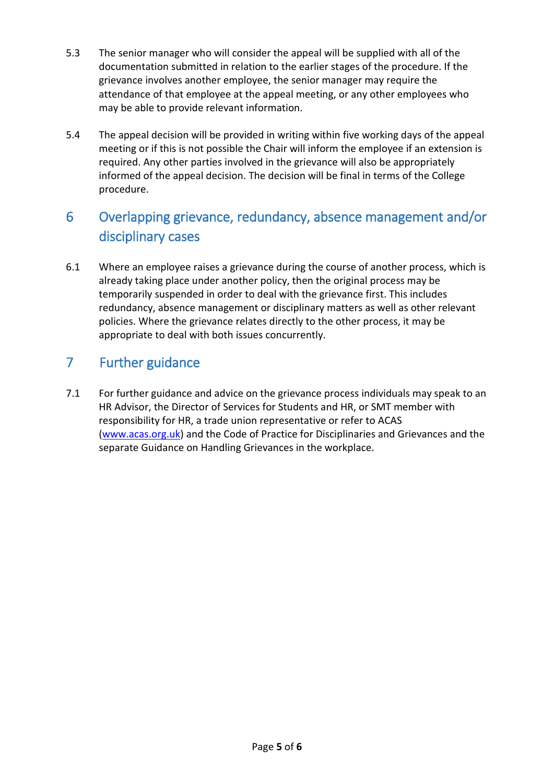- 5.3 The senior manager who will consider the appeal will be supplied with all of the documentation submitted in relation to the earlier stages of the procedure. If the grievance involves another employee, the senior manager may require the attendance of that employee at the appeal meeting, or any other employees who may be able to provide relevant information.
- 5.4 The appeal decision will be provided in writing within five working days of the appeal meeting or if this is not possible the Chair will inform the employee if an extension is required. Any other parties involved in the grievance will also be appropriately informed of the appeal decision. The decision will be final in terms of the College procedure.

# 6 Overlapping grievance, redundancy, absence management and/or disciplinary cases

6.1 Where an employee raises a grievance during the course of another process, which is already taking place under another policy, then the original process may be temporarily suspended in order to deal with the grievance first. This includes redundancy, absence management or disciplinary matters as well as other relevant policies. Where the grievance relates directly to the other process, it may be appropriate to deal with both issues concurrently.

# 7 Further guidance

7.1 For further guidance and advice on the grievance process individuals may speak to an HR Advisor, the Director of Services for Students and HR, or SMT member with responsibility for HR, a trade union representative or refer to ACAS [\(www.acas.org.uk\)](http://www.acas.org.uk/) and the Code of Practice for Disciplinaries and Grievances and the separate Guidance on Handling Grievances in the workplace.